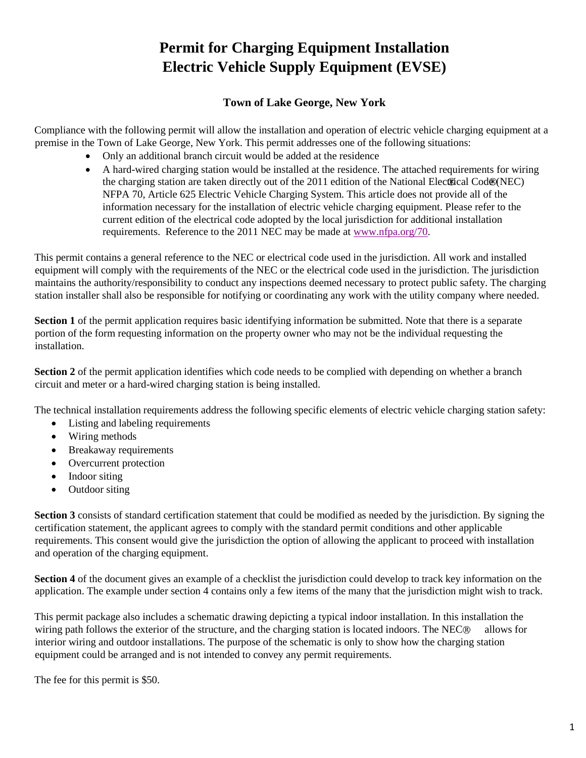## **Permit for Charging Equipment Installation Electric Vehicle Supply Equipment (EVSE)**

#### **Town of Lake George, New York**

Compliance with the following permit will allow the installation and operation of electric vehicle charging equipment at a premise in the Town of Lake George, New York. This permit addresses one of the following situations:

- Only an additional branch circuit would be added at the residence
- A hard-wired charging station would be installed at the residence. The attached requirements for wiring the charging station are taken directly out of the 2011 edition of the National Electrical Cod $\mathcal{R}(NEC)$ NFPA 70, Article 625 Electric Vehicle Charging System. This article does not provide all of the information necessary for the installation of electric vehicle charging equipment. Please refer to the current edition of the electrical code adopted by the local jurisdiction for additional installation requirements. Reference to the 2011 NEC may be made at [www.nfpa.org/70.](http://www.nfpa.org/70)

This permit contains a general reference to the NEC or electrical code used in the jurisdiction. All work and installed equipment will comply with the requirements of the NEC or the electrical code used in the jurisdiction. The jurisdiction maintains the authority/responsibility to conduct any inspections deemed necessary to protect public safety. The charging station installer shall also be responsible for notifying or coordinating any work with the utility company where needed.

**Section 1** of the permit application requires basic identifying information be submitted. Note that there is a separate portion of the form requesting information on the property owner who may not be the individual requesting the installation.

**Section 2** of the permit application identifies which code needs to be complied with depending on whether a branch circuit and meter or a hard-wired charging station is being installed.

The technical installation requirements address the following specific elements of electric vehicle charging station safety:

- Listing and labeling requirements
- Wiring methods
- Breakaway requirements
- Overcurrent protection
- Indoor siting
- Outdoor siting

**Section 3** consists of standard certification statement that could be modified as needed by the jurisdiction. By signing the certification statement, the applicant agrees to comply with the standard permit conditions and other applicable requirements. This consent would give the jurisdiction the option of allowing the applicant to proceed with installation and operation of the charging equipment.

**Section 4** of the document gives an example of a checklist the jurisdiction could develop to track key information on the application. The example under section 4 contains only a few items of the many that the jurisdiction might wish to track.

This permit package also includes a schematic drawing depicting a typical indoor installation. In this installation the wiring path follows the exterior of the structure, and the charging station is located indoors. The NEC $\odot$  allows for interior wiring and outdoor installations. The purpose of the schematic is only to show how the charging station equipment could be arranged and is not intended to convey any permit requirements.

The fee for this permit is \$50.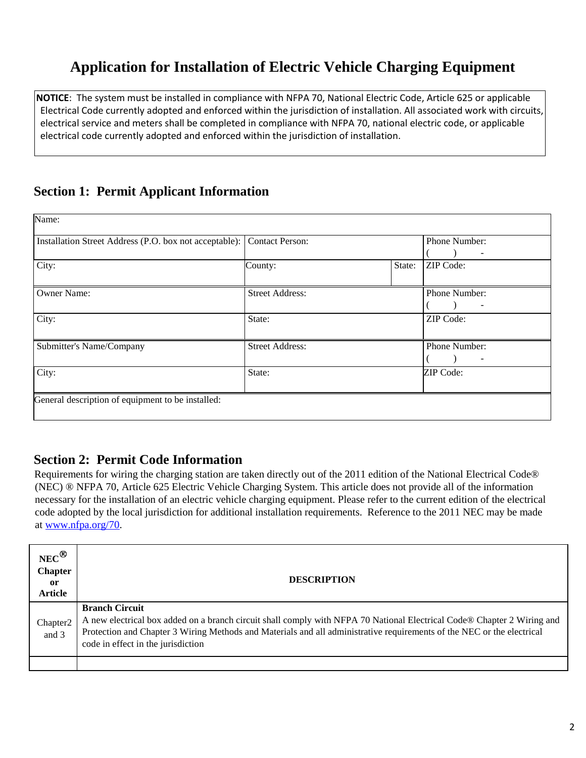# **Application for Installation of Electric Vehicle Charging Equipment**

**NOTICE**: The system must be installed in compliance with NFPA 70, National Electric Code, Article 625 or applicable Electrical Code currently adopted and enforced within the jurisdiction of installation. All associated work with circuits, electrical service and meters shall be completed in compliance with NFPA 70, national electric code, or applicable electrical code currently adopted and enforced within the jurisdiction of installation.

## **Section 1: Permit Applicant Information**

| Installation Street Address (P.O. box not acceptable): | <b>Contact Person:</b> |        | Phone Number:    |
|--------------------------------------------------------|------------------------|--------|------------------|
|                                                        |                        |        |                  |
| City:                                                  | County:                | State: | <b>ZIP</b> Code: |
| Owner Name:                                            | <b>Street Address:</b> |        | Phone Number:    |
|                                                        |                        |        |                  |
| City:                                                  | State:                 |        | ZIP Code:        |
| Submitter's Name/Company                               | <b>Street Address:</b> |        | Phone Number:    |
|                                                        |                        |        |                  |
| City:                                                  | State:                 |        | ZIP Code:        |
|                                                        |                        |        |                  |

### **Section 2: Permit Code Information**

Requirements for wiring the charging station are taken directly out of the 2011 edition of the National Electrical Code® (NEC) ® NFPA 70, Article 625 Electric Vehicle Charging System. This article does not provide all of the information necessary for the installation of an electric vehicle charging equipment. Please refer to the current edition of the electrical code adopted by the local jurisdiction for additional installation requirements. Reference to the 2011 NEC may be made at [www.nfpa.org/70.](http://www.nfpa.org/70)

| $NEC^{\bigcircled{\otimes}}$<br><b>Chapter</b><br>0r<br><b>Article</b> | <b>DESCRIPTION</b>                                                                                                                                                                                                                                                                                               |
|------------------------------------------------------------------------|------------------------------------------------------------------------------------------------------------------------------------------------------------------------------------------------------------------------------------------------------------------------------------------------------------------|
| Chapter <sub>2</sub><br>and 3                                          | <b>Branch Circuit</b><br>A new electrical box added on a branch circuit shall comply with NFPA 70 National Electrical Code® Chapter 2 Wiring and<br>Protection and Chapter 3 Wiring Methods and Materials and all administrative requirements of the NEC or the electrical<br>code in effect in the jurisdiction |
|                                                                        |                                                                                                                                                                                                                                                                                                                  |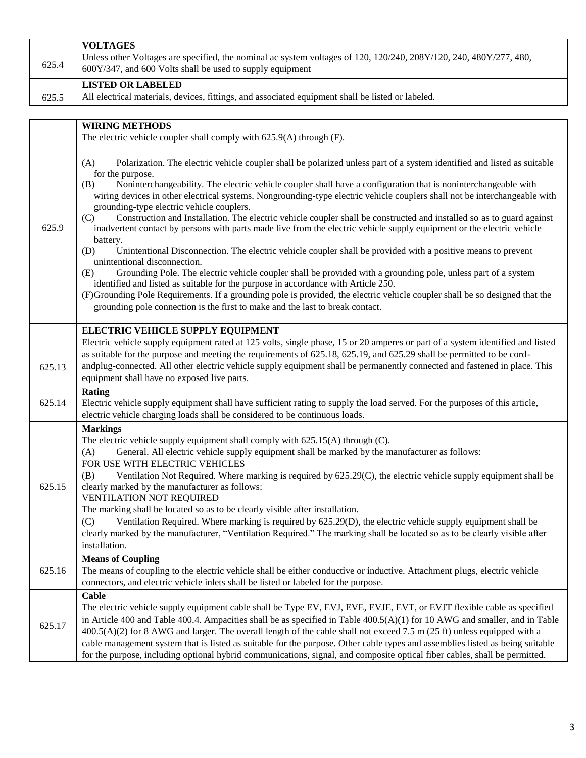| 625.4  | <b>VOLTAGES</b><br>Unless other Voltages are specified, the nominal ac system voltages of 120, 120/240, 208Y/120, 240, 480Y/277, 480,<br>600Y/347, and 600 Volts shall be used to supply equipment                                                      |
|--------|---------------------------------------------------------------------------------------------------------------------------------------------------------------------------------------------------------------------------------------------------------|
|        | <b>LISTED OR LABELED</b>                                                                                                                                                                                                                                |
| 625.5  | All electrical materials, devices, fittings, and associated equipment shall be listed or labeled.                                                                                                                                                       |
|        |                                                                                                                                                                                                                                                         |
|        | <b>WIRING METHODS</b>                                                                                                                                                                                                                                   |
|        | The electric vehicle coupler shall comply with 625.9(A) through (F).                                                                                                                                                                                    |
|        |                                                                                                                                                                                                                                                         |
|        | (A)<br>Polarization. The electric vehicle coupler shall be polarized unless part of a system identified and listed as suitable                                                                                                                          |
|        | for the purpose.                                                                                                                                                                                                                                        |
|        | Noninterchangeability. The electric vehicle coupler shall have a configuration that is noninterchangeable with<br>(B)<br>wiring devices in other electrical systems. Nongrounding-type electric vehicle couplers shall not be interchangeable with      |
|        | grounding-type electric vehicle couplers.                                                                                                                                                                                                               |
|        | Construction and Installation. The electric vehicle coupler shall be constructed and installed so as to guard against<br>(C)                                                                                                                            |
| 625.9  | inadvertent contact by persons with parts made live from the electric vehicle supply equipment or the electric vehicle                                                                                                                                  |
|        | battery.<br>(D)<br>Unintentional Disconnection. The electric vehicle coupler shall be provided with a positive means to prevent                                                                                                                         |
|        | unintentional disconnection.                                                                                                                                                                                                                            |
|        | Grounding Pole. The electric vehicle coupler shall be provided with a grounding pole, unless part of a system<br>(E)                                                                                                                                    |
|        | identified and listed as suitable for the purpose in accordance with Article 250.                                                                                                                                                                       |
|        | (F)Grounding Pole Requirements. If a grounding pole is provided, the electric vehicle coupler shall be so designed that the                                                                                                                             |
|        | grounding pole connection is the first to make and the last to break contact.                                                                                                                                                                           |
|        | ELECTRIC VEHICLE SUPPLY EQUIPMENT                                                                                                                                                                                                                       |
|        | Electric vehicle supply equipment rated at 125 volts, single phase, 15 or 20 amperes or part of a system identified and listed                                                                                                                          |
|        | as suitable for the purpose and meeting the requirements of 625.18, 625.19, and 625.29 shall be permitted to be cord-                                                                                                                                   |
| 625.13 | andplug-connected. All other electric vehicle supply equipment shall be permanently connected and fastened in place. This                                                                                                                               |
|        | equipment shall have no exposed live parts.                                                                                                                                                                                                             |
| 625.14 | Rating                                                                                                                                                                                                                                                  |
|        | Electric vehicle supply equipment shall have sufficient rating to supply the load served. For the purposes of this article,<br>electric vehicle charging loads shall be considered to be continuous loads.                                              |
|        | <b>Markings</b>                                                                                                                                                                                                                                         |
|        | The electric vehicle supply equipment shall comply with $625.15(A)$ through (C).                                                                                                                                                                        |
|        | General. All electric vehicle supply equipment shall be marked by the manufacturer as follows:<br>(A)                                                                                                                                                   |
|        | FOR USE WITH ELECTRIC VEHICLES                                                                                                                                                                                                                          |
|        | Ventilation Not Required. Where marking is required by 625.29(C), the electric vehicle supply equipment shall be<br>(B)                                                                                                                                 |
| 625.15 | clearly marked by the manufacturer as follows:<br>VENTILATION NOT REQUIRED                                                                                                                                                                              |
|        | The marking shall be located so as to be clearly visible after installation.                                                                                                                                                                            |
|        | Ventilation Required. Where marking is required by 625.29(D), the electric vehicle supply equipment shall be<br>(C)                                                                                                                                     |
|        | clearly marked by the manufacturer, "Ventilation Required." The marking shall be located so as to be clearly visible after                                                                                                                              |
|        | installation.                                                                                                                                                                                                                                           |
|        | <b>Means of Coupling</b>                                                                                                                                                                                                                                |
| 625.16 | The means of coupling to the electric vehicle shall be either conductive or inductive. Attachment plugs, electric vehicle                                                                                                                               |
|        | connectors, and electric vehicle inlets shall be listed or labeled for the purpose.                                                                                                                                                                     |
|        | Cable                                                                                                                                                                                                                                                   |
|        | The electric vehicle supply equipment cable shall be Type EV, EVJ, EVE, EVJE, EVT, or EVJT flexible cable as specified                                                                                                                                  |
| 625.17 | in Article 400 and Table 400.4. Ampacities shall be as specified in Table 400.5(A)(1) for 10 AWG and smaller, and in Table<br>$400.5(A)(2)$ for 8 AWG and larger. The overall length of the cable shall not exceed 7.5 m (25 ft) unless equipped with a |
|        | cable management system that is listed as suitable for the purpose. Other cable types and assemblies listed as being suitable                                                                                                                           |
|        | for the purpose, including optional hybrid communications, signal, and composite optical fiber cables, shall be permitted.                                                                                                                              |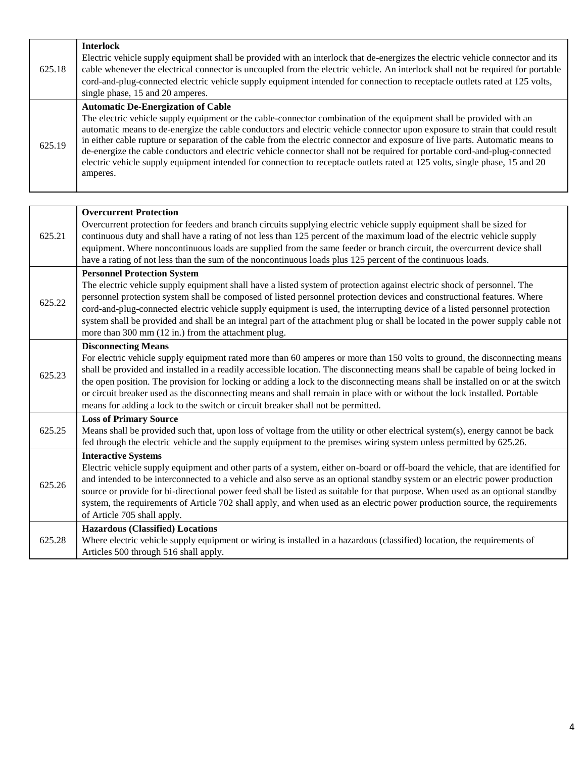| 625.18 | <b>Interlock</b><br>Electric vehicle supply equipment shall be provided with an interlock that de-energizes the electric vehicle connector and its<br>cable whenever the electrical connector is uncoupled from the electric vehicle. An interlock shall not be required for portable<br>cord-and-plug-connected electric vehicle supply equipment intended for connection to receptacle outlets rated at 125 volts,<br>single phase, 15 and 20 amperes.                                                                                                                                                                                                                                                   |
|--------|------------------------------------------------------------------------------------------------------------------------------------------------------------------------------------------------------------------------------------------------------------------------------------------------------------------------------------------------------------------------------------------------------------------------------------------------------------------------------------------------------------------------------------------------------------------------------------------------------------------------------------------------------------------------------------------------------------|
| 625.19 | <b>Automatic De-Energization of Cable</b><br>The electric vehicle supply equipment or the cable-connector combination of the equipment shall be provided with an<br>automatic means to de-energize the cable conductors and electric vehicle connector upon exposure to strain that could result<br>in either cable rupture or separation of the cable from the electric connector and exposure of live parts. Automatic means to<br>de-energize the cable conductors and electric vehicle connector shall not be required for portable cord-and-plug-connected<br>electric vehicle supply equipment intended for connection to receptacle outlets rated at 125 volts, single phase, 15 and 20<br>amperes. |

| 625.21 | <b>Overcurrent Protection</b><br>Overcurrent protection for feeders and branch circuits supplying electric vehicle supply equipment shall be sized for<br>continuous duty and shall have a rating of not less than 125 percent of the maximum load of the electric vehicle supply<br>equipment. Where noncontinuous loads are supplied from the same feeder or branch circuit, the overcurrent device shall<br>have a rating of not less than the sum of the noncontinuous loads plus 125 percent of the continuous loads.                                                                                                                    |
|--------|-----------------------------------------------------------------------------------------------------------------------------------------------------------------------------------------------------------------------------------------------------------------------------------------------------------------------------------------------------------------------------------------------------------------------------------------------------------------------------------------------------------------------------------------------------------------------------------------------------------------------------------------------|
| 625.22 | <b>Personnel Protection System</b><br>The electric vehicle supply equipment shall have a listed system of protection against electric shock of personnel. The<br>personnel protection system shall be composed of listed personnel protection devices and constructional features. Where<br>cord-and-plug-connected electric vehicle supply equipment is used, the interrupting device of a listed personnel protection<br>system shall be provided and shall be an integral part of the attachment plug or shall be located in the power supply cable not<br>more than 300 mm (12 in.) from the attachment plug.                             |
| 625.23 | <b>Disconnecting Means</b><br>For electric vehicle supply equipment rated more than 60 amperes or more than 150 volts to ground, the disconnecting means<br>shall be provided and installed in a readily accessible location. The disconnecting means shall be capable of being locked in<br>the open position. The provision for locking or adding a lock to the disconnecting means shall be installed on or at the switch<br>or circuit breaker used as the disconnecting means and shall remain in place with or without the lock installed. Portable<br>means for adding a lock to the switch or circuit breaker shall not be permitted. |
| 625.25 | <b>Loss of Primary Source</b><br>Means shall be provided such that, upon loss of voltage from the utility or other electrical system(s), energy cannot be back<br>fed through the electric vehicle and the supply equipment to the premises wiring system unless permitted by 625.26.                                                                                                                                                                                                                                                                                                                                                         |
| 625.26 | <b>Interactive Systems</b><br>Electric vehicle supply equipment and other parts of a system, either on-board or off-board the vehicle, that are identified for<br>and intended to be interconnected to a vehicle and also serve as an optional standby system or an electric power production<br>source or provide for bi-directional power feed shall be listed as suitable for that purpose. When used as an optional standby<br>system, the requirements of Article 702 shall apply, and when used as an electric power production source, the requirements<br>of Article 705 shall apply.                                                 |
| 625.28 | <b>Hazardous (Classified) Locations</b><br>Where electric vehicle supply equipment or wiring is installed in a hazardous (classified) location, the requirements of<br>Articles 500 through 516 shall apply.                                                                                                                                                                                                                                                                                                                                                                                                                                  |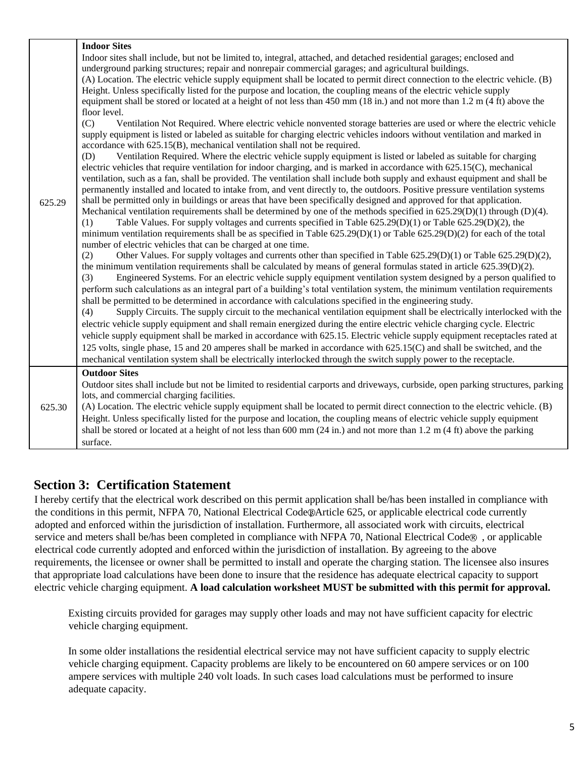| 625.29 | <b>Indoor Sites</b><br>Indoor sites shall include, but not be limited to, integral, attached, and detached residential garages; enclosed and<br>underground parking structures; repair and nonrepair commercial garages; and agricultural buildings.<br>(A) Location. The electric vehicle supply equipment shall be located to permit direct connection to the electric vehicle. (B)<br>Height. Unless specifically listed for the purpose and location, the coupling means of the electric vehicle supply<br>equipment shall be stored or located at a height of not less than 450 mm $(18 \text{ in.})$ and not more than 1.2 m $(4 \text{ ft})$ above the<br>floor level.<br>(C)<br>Ventilation Not Required. Where electric vehicle nonvented storage batteries are used or where the electric vehicle<br>supply equipment is listed or labeled as suitable for charging electric vehicles indoors without ventilation and marked in<br>accordance with 625.15(B), mechanical ventilation shall not be required.<br>Ventilation Required. Where the electric vehicle supply equipment is listed or labeled as suitable for charging<br>(D)<br>electric vehicles that require ventilation for indoor charging, and is marked in accordance with 625.15(C), mechanical<br>ventilation, such as a fan, shall be provided. The ventilation shall include both supply and exhaust equipment and shall be<br>permanently installed and located to intake from, and vent directly to, the outdoors. Positive pressure ventilation systems<br>shall be permitted only in buildings or areas that have been specifically designed and approved for that application.<br>Mechanical ventilation requirements shall be determined by one of the methods specified in $625.29(D)(1)$ through (D)(4).<br>Table Values. For supply voltages and currents specified in Table $625.29(D)(1)$ or Table $625.29(D)(2)$ , the<br>(1)<br>minimum ventilation requirements shall be as specified in Table $625.29(D)(1)$ or Table $625.29(D)(2)$ for each of the total<br>number of electric vehicles that can be charged at one time.<br>Other Values. For supply voltages and currents other than specified in Table $625.29(D)(1)$ or Table $625.29(D)(2)$ ,<br>(2)<br>the minimum ventilation requirements shall be calculated by means of general formulas stated in article 625.39(D)(2).<br>(3)<br>Engineered Systems. For an electric vehicle supply equipment ventilation system designed by a person qualified to<br>perform such calculations as an integral part of a building's total ventilation system, the minimum ventilation requirements<br>shall be permitted to be determined in accordance with calculations specified in the engineering study.<br>Supply Circuits. The supply circuit to the mechanical ventilation equipment shall be electrically interlocked with the<br>(4)<br>electric vehicle supply equipment and shall remain energized during the entire electric vehicle charging cycle. Electric |
|--------|---------------------------------------------------------------------------------------------------------------------------------------------------------------------------------------------------------------------------------------------------------------------------------------------------------------------------------------------------------------------------------------------------------------------------------------------------------------------------------------------------------------------------------------------------------------------------------------------------------------------------------------------------------------------------------------------------------------------------------------------------------------------------------------------------------------------------------------------------------------------------------------------------------------------------------------------------------------------------------------------------------------------------------------------------------------------------------------------------------------------------------------------------------------------------------------------------------------------------------------------------------------------------------------------------------------------------------------------------------------------------------------------------------------------------------------------------------------------------------------------------------------------------------------------------------------------------------------------------------------------------------------------------------------------------------------------------------------------------------------------------------------------------------------------------------------------------------------------------------------------------------------------------------------------------------------------------------------------------------------------------------------------------------------------------------------------------------------------------------------------------------------------------------------------------------------------------------------------------------------------------------------------------------------------------------------------------------------------------------------------------------------------------------------------------------------------------------------------------------------------------------------------------------------------------------------------------------------------------------------------------------------------------------------------------------------------------------------------------------------------------------------------------------------------------------------------------------------------------------------------------------------------------------------------------------------------------------------------------------------------------------------------|
|        | vehicle supply equipment shall be marked in accordance with 625.15. Electric vehicle supply equipment receptacles rated at<br>125 volts, single phase, 15 and 20 amperes shall be marked in accordance with 625.15(C) and shall be switched, and the                                                                                                                                                                                                                                                                                                                                                                                                                                                                                                                                                                                                                                                                                                                                                                                                                                                                                                                                                                                                                                                                                                                                                                                                                                                                                                                                                                                                                                                                                                                                                                                                                                                                                                                                                                                                                                                                                                                                                                                                                                                                                                                                                                                                                                                                                                                                                                                                                                                                                                                                                                                                                                                                                                                                                                |
|        | mechanical ventilation system shall be electrically interlocked through the switch supply power to the receptacle.                                                                                                                                                                                                                                                                                                                                                                                                                                                                                                                                                                                                                                                                                                                                                                                                                                                                                                                                                                                                                                                                                                                                                                                                                                                                                                                                                                                                                                                                                                                                                                                                                                                                                                                                                                                                                                                                                                                                                                                                                                                                                                                                                                                                                                                                                                                                                                                                                                                                                                                                                                                                                                                                                                                                                                                                                                                                                                  |
| 625.30 | <b>Outdoor Sites</b><br>Outdoor sites shall include but not be limited to residential carports and driveways, curbside, open parking structures, parking<br>lots, and commercial charging facilities.<br>(A) Location. The electric vehicle supply equipment shall be located to permit direct connection to the electric vehicle. (B)<br>Height. Unless specifically listed for the purpose and location, the coupling means of electric vehicle supply equipment<br>shall be stored or located at a height of not less than 600 mm $(24 \text{ in.})$ and not more than 1.2 m $(4 \text{ ft})$ above the parking                                                                                                                                                                                                                                                                                                                                                                                                                                                                                                                                                                                                                                                                                                                                                                                                                                                                                                                                                                                                                                                                                                                                                                                                                                                                                                                                                                                                                                                                                                                                                                                                                                                                                                                                                                                                                                                                                                                                                                                                                                                                                                                                                                                                                                                                                                                                                                                                  |
|        | surface.                                                                                                                                                                                                                                                                                                                                                                                                                                                                                                                                                                                                                                                                                                                                                                                                                                                                                                                                                                                                                                                                                                                                                                                                                                                                                                                                                                                                                                                                                                                                                                                                                                                                                                                                                                                                                                                                                                                                                                                                                                                                                                                                                                                                                                                                                                                                                                                                                                                                                                                                                                                                                                                                                                                                                                                                                                                                                                                                                                                                            |

### **Section 3: Certification Statement**

I hereby certify that the electrical work described on this permit application shall be/has been installed in compliance with the conditions in this permit, NFPA 70, National Electrical Code @Article 625, or applicable electrical code currently adopted and enforced within the jurisdiction of installation. Furthermore, all associated work with circuits, electrical service and meters shall be/has been completed in compliance with NFPA 70, National Electrical Code®, or applicable electrical code currently adopted and enforced within the jurisdiction of installation. By agreeing to the above requirements, the licensee or owner shall be permitted to install and operate the charging station. The licensee also insures that appropriate load calculations have been done to insure that the residence has adequate electrical capacity to support electric vehicle charging equipment. **A load calculation worksheet MUST be submitted with this permit for approval.**

Existing circuits provided for garages may supply other loads and may not have sufficient capacity for electric vehicle charging equipment.

In some older installations the residential electrical service may not have sufficient capacity to supply electric vehicle charging equipment. Capacity problems are likely to be encountered on 60 ampere services or on 100 ampere services with multiple 240 volt loads. In such cases load calculations must be performed to insure adequate capacity.